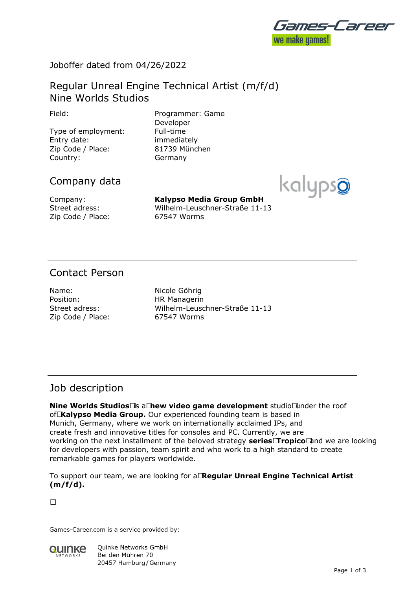

# Joboffer dated from 04/26/2022

# Regular Unreal Engine Technical Artist (m/f/d) Nine Worlds Studios

Type of employment: Full-time Entry date: immediately Zip Code / Place: 81739 München Country: Germany

Field: Programmer: Game Developer

# Company data



Company: **Kalypso Media Group GmbH** Street adress: Wilhelm-Leuschner-Straße 11-13

# Contact Person

Name: Nicole Göhrig Position: HR Managerin Zip Code / Place: 67547 Worms

Street adress: Wilhelm-Leuschner-Straße 11-13

## Job description

**Nine Worlds Studios Is a Thew video game development** studio **Theory of relationships** of **Kalypso Media Group.** Our experienced founding team is based in Munich, Germany, where we work on internationally acclaimed IPs, and create fresh and innovative titles for consoles and PC. Currently, we are working on the next installment of the beloved strategy **series Tropico** and we are looking for developers with passion, team spirit and who work to a high standard to create remarkable games for players worldwide.

To support our team, we are looking for a **Regular Unreal Engine Technical Artist (m/f/d).**

 $\Box$ 

Games-Career.com is a service provided by:



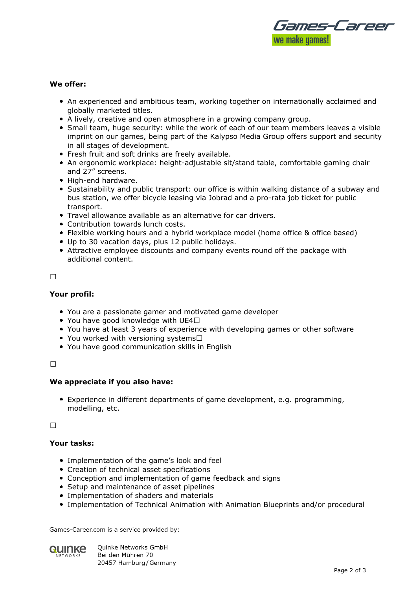

### **We offer:**

- An experienced and ambitious team, working together on internationally acclaimed and globally marketed titles.
- A lively, creative and open atmosphere in a growing company group.
- Small team, huge security: while the work of each of our team members leaves a visible imprint on our games, being part of the Kalypso Media Group offers support and security in all stages of development.
- Fresh fruit and soft drinks are freely available.
- An ergonomic workplace: height-adjustable sit/stand table, comfortable gaming chair and 27" screens.
- High-end hardware.
- Sustainability and public transport: our office is within walking distance of a subway and bus station, we offer bicycle leasing via Jobrad and a pro-rata job ticket for public transport.
- Travel allowance available as an alternative for car drivers.
- Contribution towards lunch costs.
- Flexible working hours and a hybrid workplace model (home office & office based)
- Up to 30 vacation days, plus 12 public holidays.
- Attractive employee discounts and company events round off the package with additional content.

#### 

### **Your profil:**

- You are a passionate gamer and motivated game developer
- You have good knowledge with UE4 $\square$
- You have at least 3 years of experience with developing games or other software
- You worked with versioning systems $\Box$
- You have good communication skills in English

#### $\Box$

#### **We appreciate if you also have:**

Experience in different departments of game development, e.g. programming, modelling, etc.

 $\Box$ 

### **Your tasks:**

- Implementation of the game's look and feel
- Creation of technical asset specifications
- Conception and implementation of game feedback and signs
- Setup and maintenance of asset pipelines
- Implementation of shaders and materials
- Implementation of Technical Animation with Animation Blueprints and/or procedural

Games-Career.com is a service provided by:



**Ouinke Networks GmbH** Bei den Mühren 70 20457 Hamburg / Germany